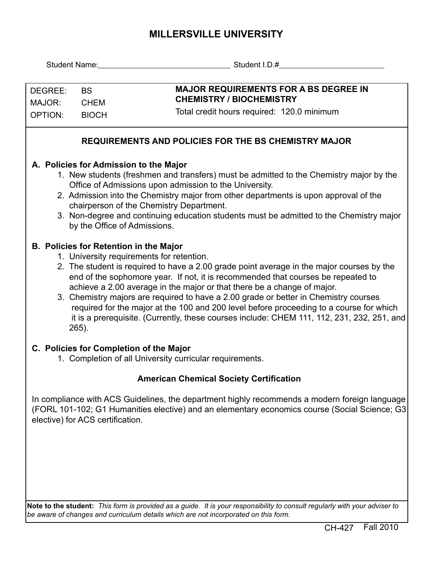## **MILLERSVILLE UNIVERSITY**

|                                                                                         |                                                                                           | Student Name: Name: Name and Name and Name and Name and Name and Name and Name and Name and Name and Name and N                                                                                                   |  |  |  |  |  |  |  |  |  |  |
|-----------------------------------------------------------------------------------------|-------------------------------------------------------------------------------------------|-------------------------------------------------------------------------------------------------------------------------------------------------------------------------------------------------------------------|--|--|--|--|--|--|--|--|--|--|
|                                                                                         |                                                                                           |                                                                                                                                                                                                                   |  |  |  |  |  |  |  |  |  |  |
| DEGREE:<br><b>BS</b><br>MAJOR:<br><b>CHEM</b>                                           |                                                                                           | <b>MAJOR REQUIREMENTS FOR A BS DEGREE IN</b>                                                                                                                                                                      |  |  |  |  |  |  |  |  |  |  |
|                                                                                         |                                                                                           | <b>CHEMISTRY / BIOCHEMISTRY</b>                                                                                                                                                                                   |  |  |  |  |  |  |  |  |  |  |
| <b>OPTION:</b>                                                                          | <b>BIOCH</b>                                                                              | Total credit hours required: 120.0 minimum                                                                                                                                                                        |  |  |  |  |  |  |  |  |  |  |
| <b>REQUIREMENTS AND POLICIES FOR THE BS CHEMISTRY MAJOR</b>                             |                                                                                           |                                                                                                                                                                                                                   |  |  |  |  |  |  |  |  |  |  |
| A. Policies for Admission to the Major                                                  |                                                                                           |                                                                                                                                                                                                                   |  |  |  |  |  |  |  |  |  |  |
| 1. New students (freshmen and transfers) must be admitted to the Chemistry major by the |                                                                                           |                                                                                                                                                                                                                   |  |  |  |  |  |  |  |  |  |  |
| Office of Admissions upon admission to the University.                                  |                                                                                           |                                                                                                                                                                                                                   |  |  |  |  |  |  |  |  |  |  |
|                                                                                         |                                                                                           | 2. Admission into the Chemistry major from other departments is upon approval of the                                                                                                                              |  |  |  |  |  |  |  |  |  |  |
|                                                                                         |                                                                                           | chairperson of the Chemistry Department.<br>3. Non-degree and continuing education students must be admitted to the Chemistry major                                                                               |  |  |  |  |  |  |  |  |  |  |
|                                                                                         |                                                                                           | by the Office of Admissions.                                                                                                                                                                                      |  |  |  |  |  |  |  |  |  |  |
|                                                                                         |                                                                                           | B. Policies for Retention in the Major                                                                                                                                                                            |  |  |  |  |  |  |  |  |  |  |
| 1. University requirements for retention.                                               |                                                                                           |                                                                                                                                                                                                                   |  |  |  |  |  |  |  |  |  |  |
|                                                                                         | 2. The student is required to have a 2.00 grade point average in the major courses by the |                                                                                                                                                                                                                   |  |  |  |  |  |  |  |  |  |  |
|                                                                                         |                                                                                           | end of the sophomore year. If not, it is recommended that courses be repeated to                                                                                                                                  |  |  |  |  |  |  |  |  |  |  |
|                                                                                         |                                                                                           | achieve a 2.00 average in the major or that there be a change of major.<br>3. Chemistry majors are required to have a 2.00 grade or better in Chemistry courses                                                   |  |  |  |  |  |  |  |  |  |  |
|                                                                                         |                                                                                           | required for the major at the 100 and 200 level before proceeding to a course for which                                                                                                                           |  |  |  |  |  |  |  |  |  |  |
|                                                                                         |                                                                                           | it is a prerequisite. (Currently, these courses include: CHEM 111, 112, 231, 232, 251, and                                                                                                                        |  |  |  |  |  |  |  |  |  |  |
|                                                                                         | 265).                                                                                     |                                                                                                                                                                                                                   |  |  |  |  |  |  |  |  |  |  |
|                                                                                         |                                                                                           | C. Policies for Completion of the Major                                                                                                                                                                           |  |  |  |  |  |  |  |  |  |  |
| 1. Completion of all University curricular requirements.                                |                                                                                           |                                                                                                                                                                                                                   |  |  |  |  |  |  |  |  |  |  |
|                                                                                         |                                                                                           | <b>American Chemical Society Certification</b>                                                                                                                                                                    |  |  |  |  |  |  |  |  |  |  |
|                                                                                         |                                                                                           | In compliance with ACS Guidelines, the department highly recommends a modern foreign language                                                                                                                     |  |  |  |  |  |  |  |  |  |  |
|                                                                                         |                                                                                           | (FORL 101-102; G1 Humanities elective) and an elementary economics course (Social Science; G3                                                                                                                     |  |  |  |  |  |  |  |  |  |  |
|                                                                                         | elective) for ACS certification.                                                          |                                                                                                                                                                                                                   |  |  |  |  |  |  |  |  |  |  |
|                                                                                         |                                                                                           |                                                                                                                                                                                                                   |  |  |  |  |  |  |  |  |  |  |
|                                                                                         |                                                                                           |                                                                                                                                                                                                                   |  |  |  |  |  |  |  |  |  |  |
|                                                                                         |                                                                                           |                                                                                                                                                                                                                   |  |  |  |  |  |  |  |  |  |  |
|                                                                                         |                                                                                           |                                                                                                                                                                                                                   |  |  |  |  |  |  |  |  |  |  |
|                                                                                         |                                                                                           |                                                                                                                                                                                                                   |  |  |  |  |  |  |  |  |  |  |
|                                                                                         |                                                                                           |                                                                                                                                                                                                                   |  |  |  |  |  |  |  |  |  |  |
|                                                                                         |                                                                                           | Note to the student: This form is provided as a guide. It is your responsibility to consult regularly with your adviser to<br>be aware of changes and curriculum details which are not incorporated on this form. |  |  |  |  |  |  |  |  |  |  |
|                                                                                         |                                                                                           |                                                                                                                                                                                                                   |  |  |  |  |  |  |  |  |  |  |